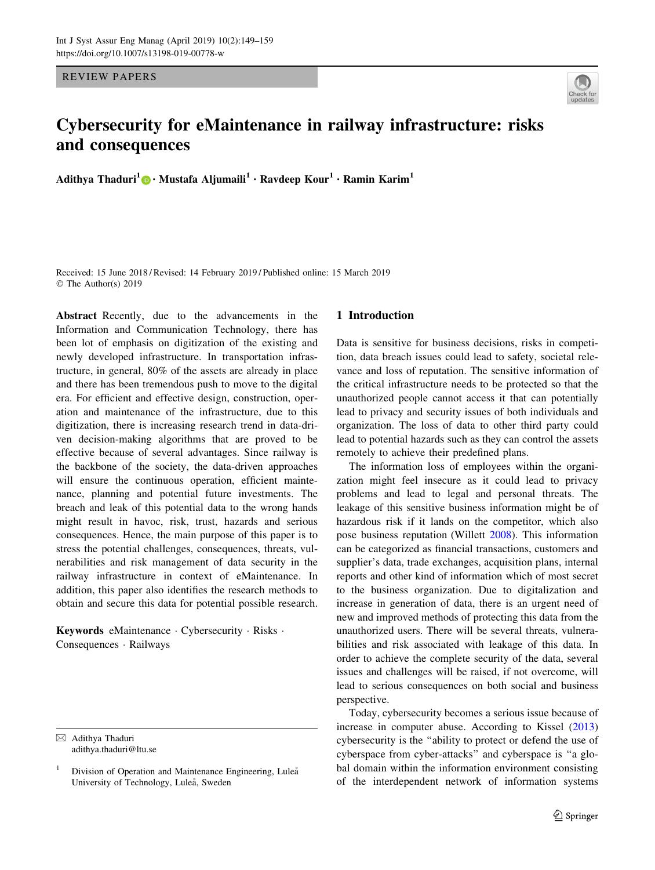REVIEW PAPERS



# Cybersecurity for eMaintenance in railway infrastructure: risks and consequences

Adithya Thaduri<sup>1</sup> • Mustafa Aljumaili<sup>1</sup> • Ravdeep Kour<sup>1</sup> • Ramin Karim<sup>1</sup>

Received: 15 June 2018 / Revised: 14 February 2019 / Published online: 15 March 2019 © The Author(s) 2019

Abstract Recently, due to the advancements in the Information and Communication Technology, there has been lot of emphasis on digitization of the existing and newly developed infrastructure. In transportation infrastructure, in general, 80% of the assets are already in place and there has been tremendous push to move to the digital era. For efficient and effective design, construction, operation and maintenance of the infrastructure, due to this digitization, there is increasing research trend in data-driven decision-making algorithms that are proved to be effective because of several advantages. Since railway is the backbone of the society, the data-driven approaches will ensure the continuous operation, efficient maintenance, planning and potential future investments. The breach and leak of this potential data to the wrong hands might result in havoc, risk, trust, hazards and serious consequences. Hence, the main purpose of this paper is to stress the potential challenges, consequences, threats, vulnerabilities and risk management of data security in the railway infrastructure in context of eMaintenance. In addition, this paper also identifies the research methods to obtain and secure this data for potential possible research.

Keywords eMaintenance · Cybersecurity · Risks · Consequences - Railways

## 1 Introduction

Data is sensitive for business decisions, risks in competition, data breach issues could lead to safety, societal relevance and loss of reputation. The sensitive information of the critical infrastructure needs to be protected so that the unauthorized people cannot access it that can potentially lead to privacy and security issues of both individuals and organization. The loss of data to other third party could lead to potential hazards such as they can control the assets remotely to achieve their predefined plans.

The information loss of employees within the organization might feel insecure as it could lead to privacy problems and lead to legal and personal threats. The leakage of this sensitive business information might be of hazardous risk if it lands on the competitor, which also pose business reputation (Willett [2008](#page-10-0)). This information can be categorized as financial transactions, customers and supplier's data, trade exchanges, acquisition plans, internal reports and other kind of information which of most secret to the business organization. Due to digitalization and increase in generation of data, there is an urgent need of new and improved methods of protecting this data from the unauthorized users. There will be several threats, vulnerabilities and risk associated with leakage of this data. In order to achieve the complete security of the data, several issues and challenges will be raised, if not overcome, will lead to serious consequences on both social and business perspective.

Today, cybersecurity becomes a serious issue because of increase in computer abuse. According to Kissel ([2013\)](#page-10-0) cybersecurity is the ''ability to protect or defend the use of cyberspace from cyber-attacks'' and cyberspace is ''a global domain within the information environment consisting of the interdependent network of information systems

<sup>&</sup>amp; Adithya Thaduri adithya.thaduri@ltu.se

Division of Operation and Maintenance Engineering, Luleå University of Technology, Luleå, Sweden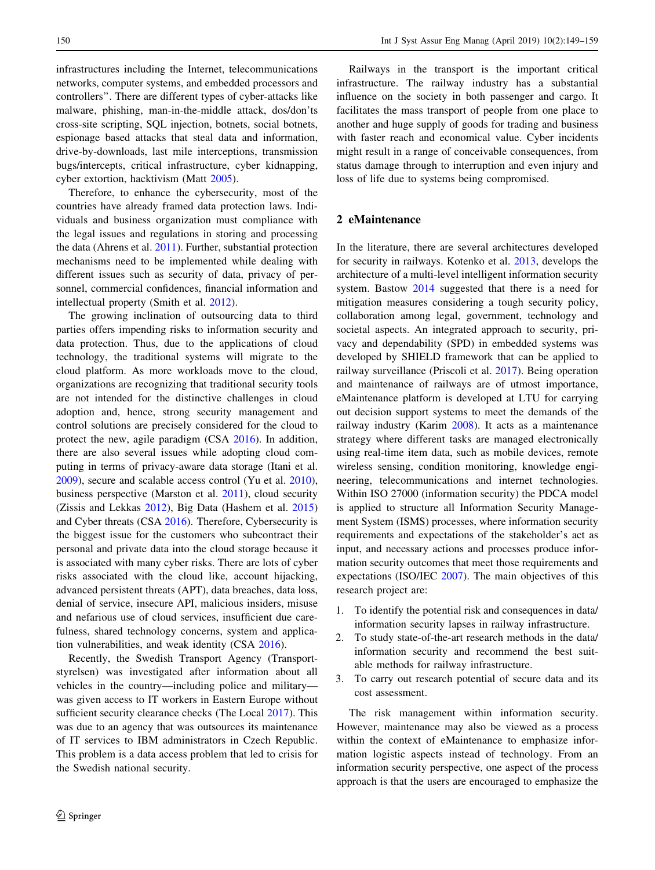infrastructures including the Internet, telecommunications networks, computer systems, and embedded processors and controllers''. There are different types of cyber-attacks like malware, phishing, man-in-the-middle attack, dos/don'ts cross-site scripting, SQL injection, botnets, social botnets, espionage based attacks that steal data and information, drive-by-downloads, last mile interceptions, transmission bugs/intercepts, critical infrastructure, cyber kidnapping, cyber extortion, hacktivism (Matt [2005](#page-10-0)).

Therefore, to enhance the cybersecurity, most of the countries have already framed data protection laws. Individuals and business organization must compliance with the legal issues and regulations in storing and processing the data (Ahrens et al. [2011\)](#page-9-0). Further, substantial protection mechanisms need to be implemented while dealing with different issues such as security of data, privacy of personnel, commercial confidences, financial information and intellectual property (Smith et al. [2012\)](#page-10-0).

The growing inclination of outsourcing data to third parties offers impending risks to information security and data protection. Thus, due to the applications of cloud technology, the traditional systems will migrate to the cloud platform. As more workloads move to the cloud, organizations are recognizing that traditional security tools are not intended for the distinctive challenges in cloud adoption and, hence, strong security management and control solutions are precisely considered for the cloud to protect the new, agile paradigm (CSA [2016](#page-9-0)). In addition, there are also several issues while adopting cloud computing in terms of privacy-aware data storage (Itani et al. [2009\)](#page-9-0), secure and scalable access control (Yu et al. [2010](#page-10-0)), business perspective (Marston et al. [2011](#page-10-0)), cloud security (Zissis and Lekkas [2012\)](#page-10-0), Big Data (Hashem et al. [2015\)](#page-9-0) and Cyber threats (CSA [2016\)](#page-9-0). Therefore, Cybersecurity is the biggest issue for the customers who subcontract their personal and private data into the cloud storage because it is associated with many cyber risks. There are lots of cyber risks associated with the cloud like, account hijacking, advanced persistent threats (APT), data breaches, data loss, denial of service, insecure API, malicious insiders, misuse and nefarious use of cloud services, insufficient due carefulness, shared technology concerns, system and application vulnerabilities, and weak identity (CSA [2016](#page-9-0)).

Recently, the Swedish Transport Agency (Transportstyrelsen) was investigated after information about all vehicles in the country—including police and military was given access to IT workers in Eastern Europe without sufficient security clearance checks (The Local [2017\)](#page-10-0). This was due to an agency that was outsources its maintenance of IT services to IBM administrators in Czech Republic. This problem is a data access problem that led to crisis for the Swedish national security.

Railways in the transport is the important critical infrastructure. The railway industry has a substantial influence on the society in both passenger and cargo. It facilitates the mass transport of people from one place to another and huge supply of goods for trading and business with faster reach and economical value. Cyber incidents might result in a range of conceivable consequences, from status damage through to interruption and even injury and loss of life due to systems being compromised.

#### 2 eMaintenance

In the literature, there are several architectures developed for security in railways. Kotenko et al. [2013,](#page-10-0) develops the architecture of a multi-level intelligent information security system. Bastow [2014](#page-9-0) suggested that there is a need for mitigation measures considering a tough security policy, collaboration among legal, government, technology and societal aspects. An integrated approach to security, privacy and dependability (SPD) in embedded systems was developed by SHIELD framework that can be applied to railway surveillance (Priscoli et al. [2017\)](#page-10-0). Being operation and maintenance of railways are of utmost importance, eMaintenance platform is developed at LTU for carrying out decision support systems to meet the demands of the railway industry (Karim [2008](#page-10-0)). It acts as a maintenance strategy where different tasks are managed electronically using real-time item data, such as mobile devices, remote wireless sensing, condition monitoring, knowledge engineering, telecommunications and internet technologies. Within ISO 27000 (information security) the PDCA model is applied to structure all Information Security Management System (ISMS) processes, where information security requirements and expectations of the stakeholder's act as input, and necessary actions and processes produce information security outcomes that meet those requirements and expectations (ISO/IEC [2007](#page-9-0)). The main objectives of this research project are:

- 1. To identify the potential risk and consequences in data/ information security lapses in railway infrastructure.
- 2. To study state-of-the-art research methods in the data/ information security and recommend the best suitable methods for railway infrastructure.
- 3. To carry out research potential of secure data and its cost assessment.

The risk management within information security. However, maintenance may also be viewed as a process within the context of eMaintenance to emphasize information logistic aspects instead of technology. From an information security perspective, one aspect of the process approach is that the users are encouraged to emphasize the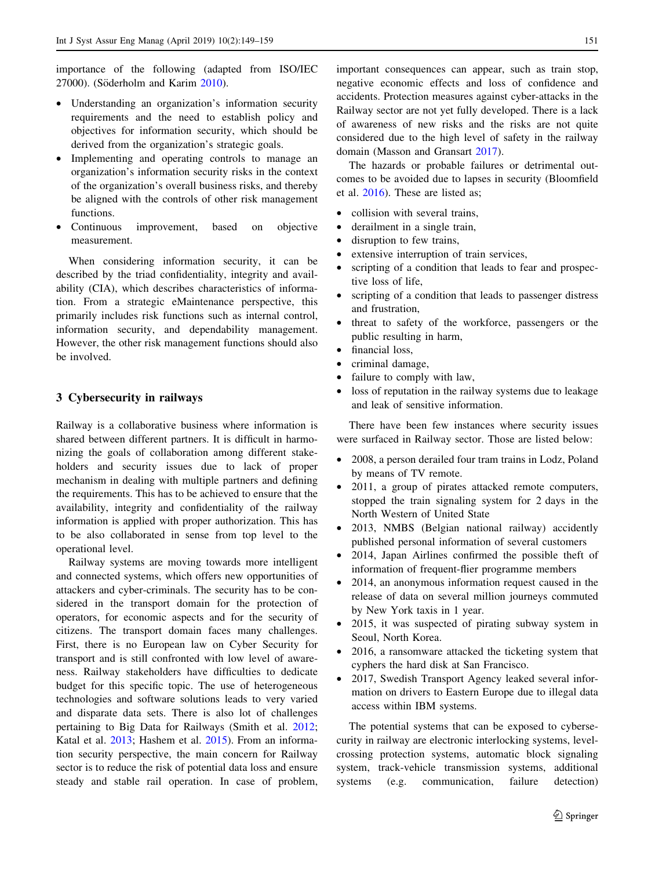importance of the following (adapted from ISO/IEC 27000). (Söderholm and Karim [2010](#page-10-0)).

- Understanding an organization's information security requirements and the need to establish policy and objectives for information security, which should be derived from the organization's strategic goals.
- Implementing and operating controls to manage an organization's information security risks in the context of the organization's overall business risks, and thereby be aligned with the controls of other risk management functions.
- Continuous improvement, based on objective measurement.

When considering information security, it can be described by the triad confidentiality, integrity and availability (CIA), which describes characteristics of information. From a strategic eMaintenance perspective, this primarily includes risk functions such as internal control, information security, and dependability management. However, the other risk management functions should also be involved.

### 3 Cybersecurity in railways

Railway is a collaborative business where information is shared between different partners. It is difficult in harmonizing the goals of collaboration among different stakeholders and security issues due to lack of proper mechanism in dealing with multiple partners and defining the requirements. This has to be achieved to ensure that the availability, integrity and confidentiality of the railway information is applied with proper authorization. This has to be also collaborated in sense from top level to the operational level.

Railway systems are moving towards more intelligent and connected systems, which offers new opportunities of attackers and cyber-criminals. The security has to be considered in the transport domain for the protection of operators, for economic aspects and for the security of citizens. The transport domain faces many challenges. First, there is no European law on Cyber Security for transport and is still confronted with low level of awareness. Railway stakeholders have difficulties to dedicate budget for this specific topic. The use of heterogeneous technologies and software solutions leads to very varied and disparate data sets. There is also lot of challenges pertaining to Big Data for Railways (Smith et al. [2012](#page-10-0); Katal et al. [2013](#page-10-0); Hashem et al. [2015\)](#page-9-0). From an information security perspective, the main concern for Railway sector is to reduce the risk of potential data loss and ensure steady and stable rail operation. In case of problem,

important consequences can appear, such as train stop, negative economic effects and loss of confidence and accidents. Protection measures against cyber-attacks in the Railway sector are not yet fully developed. There is a lack of awareness of new risks and the risks are not quite considered due to the high level of safety in the railway domain (Masson and Gransart [2017\)](#page-10-0).

The hazards or probable failures or detrimental outcomes to be avoided due to lapses in security (Bloomfield et al. [2016\)](#page-9-0). These are listed as;

- collision with several trains,
- derailment in a single train,
- disruption to few trains,
- extensive interruption of train services,
- scripting of a condition that leads to fear and prospective loss of life,
- scripting of a condition that leads to passenger distress and frustration,
- threat to safety of the workforce, passengers or the public resulting in harm,
- financial loss,
- criminal damage,
- failure to comply with law,
- loss of reputation in the railway systems due to leakage and leak of sensitive information.

There have been few instances where security issues were surfaced in Railway sector. Those are listed below:

- 2008, a person derailed four tram trains in Lodz, Poland by means of TV remote.
- 2011, a group of pirates attacked remote computers, stopped the train signaling system for 2 days in the North Western of United State
- 2013, NMBS (Belgian national railway) accidently published personal information of several customers
- 2014, Japan Airlines confirmed the possible theft of information of frequent-flier programme members
- 2014, an anonymous information request caused in the release of data on several million journeys commuted by New York taxis in 1 year.
- 2015, it was suspected of pirating subway system in Seoul, North Korea.
- 2016, a ransomware attacked the ticketing system that cyphers the hard disk at San Francisco.
- 2017, Swedish Transport Agency leaked several information on drivers to Eastern Europe due to illegal data access within IBM systems.

The potential systems that can be exposed to cybersecurity in railway are electronic interlocking systems, levelcrossing protection systems, automatic block signaling system, track-vehicle transmission systems, additional systems (e.g. communication, failure detection)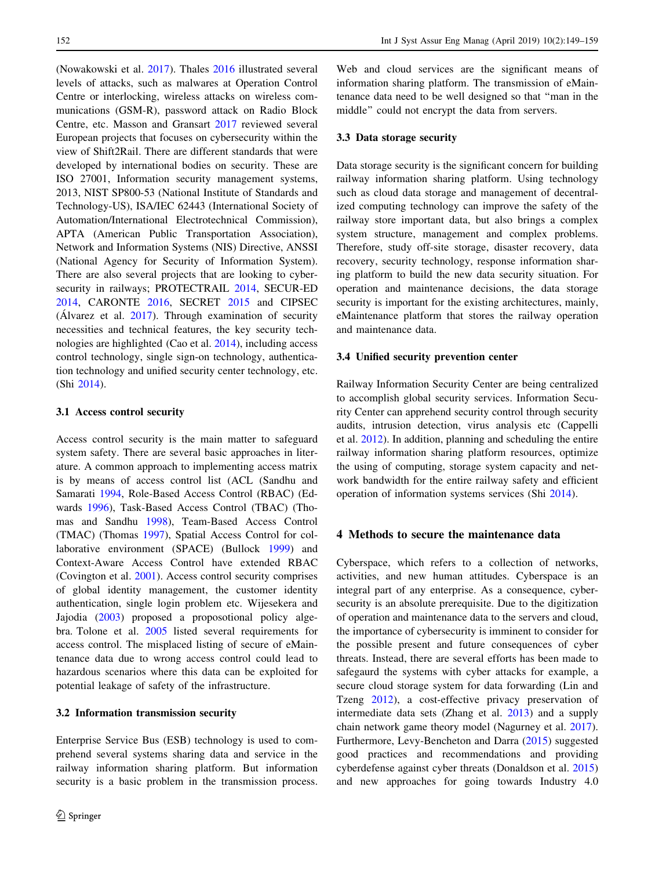(Nowakowski et al. [2017](#page-10-0)). Thales [2016](#page-10-0) illustrated several levels of attacks, such as malwares at Operation Control Centre or interlocking, wireless attacks on wireless communications (GSM-R), password attack on Radio Block Centre, etc. Masson and Gransart [2017](#page-10-0) reviewed several European projects that focuses on cybersecurity within the view of Shift2Rail. There are different standards that were developed by international bodies on security. These are ISO 27001, Information security management systems, 2013, NIST SP800-53 (National Institute of Standards and Technology-US), ISA/IEC 62443 (International Society of Automation/International Electrotechnical Commission), APTA (American Public Transportation Association), Network and Information Systems (NIS) Directive, ANSSI (National Agency for Security of Information System). There are also several projects that are looking to cybersecurity in railways; PROTECTRAIL [2014](#page-10-0), SECUR-ED [2014,](#page-10-0) CARONTE [2016](#page-9-0), SECRET [2015](#page-10-0) and CIPSEC (Alvarez et al.  $2017$ ). Through examination of security necessities and technical features, the key security technologies are highlighted (Cao et al. [2014\)](#page-9-0), including access control technology, single sign-on technology, authentication technology and unified security center technology, etc. (Shi [2014\)](#page-10-0).

#### 3.1 Access control security

Access control security is the main matter to safeguard system safety. There are several basic approaches in literature. A common approach to implementing access matrix is by means of access control list (ACL (Sandhu and Samarati [1994](#page-10-0), Role-Based Access Control (RBAC) (Edwards [1996](#page-9-0)), Task-Based Access Control (TBAC) (Thomas and Sandhu [1998\)](#page-10-0), Team-Based Access Control (TMAC) (Thomas [1997\)](#page-10-0), Spatial Access Control for collaborative environment (SPACE) (Bullock [1999\)](#page-9-0) and Context-Aware Access Control have extended RBAC (Covington et al. [2001](#page-9-0)). Access control security comprises of global identity management, the customer identity authentication, single login problem etc. Wijesekera and Jajodia ([2003\)](#page-10-0) proposed a proposotional policy algebra. Tolone et al. [2005](#page-10-0) listed several requirements for access control. The misplaced listing of secure of eMaintenance data due to wrong access control could lead to hazardous scenarios where this data can be exploited for potential leakage of safety of the infrastructure.

#### 3.2 Information transmission security

Enterprise Service Bus (ESB) technology is used to comprehend several systems sharing data and service in the railway information sharing platform. But information security is a basic problem in the transmission process.

Web and cloud services are the significant means of information sharing platform. The transmission of eMaintenance data need to be well designed so that ''man in the middle'' could not encrypt the data from servers.

#### 3.3 Data storage security

Data storage security is the significant concern for building railway information sharing platform. Using technology such as cloud data storage and management of decentralized computing technology can improve the safety of the railway store important data, but also brings a complex system structure, management and complex problems. Therefore, study off-site storage, disaster recovery, data recovery, security technology, response information sharing platform to build the new data security situation. For operation and maintenance decisions, the data storage security is important for the existing architectures, mainly, eMaintenance platform that stores the railway operation and maintenance data.

#### 3.4 Unified security prevention center

Railway Information Security Center are being centralized to accomplish global security services. Information Security Center can apprehend security control through security audits, intrusion detection, virus analysis etc (Cappelli et al. [2012](#page-9-0)). In addition, planning and scheduling the entire railway information sharing platform resources, optimize the using of computing, storage system capacity and network bandwidth for the entire railway safety and efficient operation of information systems services (Shi [2014\)](#page-10-0).

#### 4 Methods to secure the maintenance data

Cyberspace, which refers to a collection of networks, activities, and new human attitudes. Cyberspace is an integral part of any enterprise. As a consequence, cybersecurity is an absolute prerequisite. Due to the digitization of operation and maintenance data to the servers and cloud, the importance of cybersecurity is imminent to consider for the possible present and future consequences of cyber threats. Instead, there are several efforts has been made to safegaurd the systems with cyber attacks for example, a secure cloud storage system for data forwarding (Lin and Tzeng [2012\)](#page-10-0), a cost-effective privacy preservation of intermediate data sets (Zhang et al. [2013\)](#page-10-0) and a supply chain network game theory model (Nagurney et al. [2017](#page-10-0)). Furthermore, Levy-Bencheton and Darra [\(2015](#page-10-0)) suggested good practices and recommendations and providing cyberdefense against cyber threats (Donaldson et al. [2015\)](#page-9-0) and new approaches for going towards Industry 4.0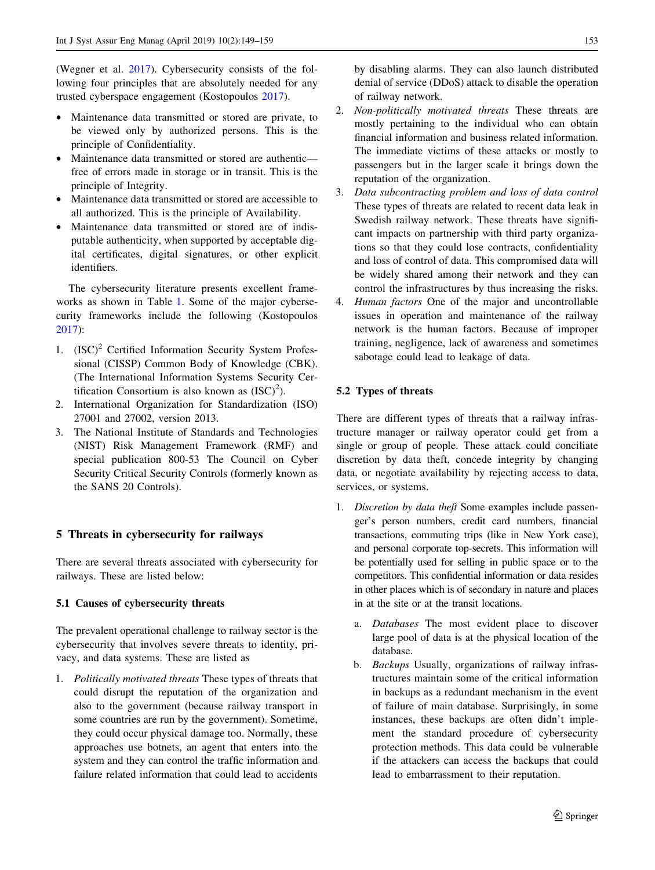(Wegner et al. [2017](#page-10-0)). Cybersecurity consists of the following four principles that are absolutely needed for any trusted cyberspace engagement (Kostopoulos [2017](#page-10-0)).

- Maintenance data transmitted or stored are private, to be viewed only by authorized persons. This is the principle of Confidentiality.
- Maintenance data transmitted or stored are authentic free of errors made in storage or in transit. This is the principle of Integrity.
- Maintenance data transmitted or stored are accessible to all authorized. This is the principle of Availability.
- Maintenance data transmitted or stored are of indisputable authenticity, when supported by acceptable digital certificates, digital signatures, or other explicit identifiers.

The cybersecurity literature presents excellent frameworks as shown in Table [1](#page-5-0). Some of the major cybersecurity frameworks include the following (Kostopoulos [2017\)](#page-10-0):

- 1.  $(ISC)^2$  Certified Information Security System Professional (CISSP) Common Body of Knowledge (CBK). (The International Information Systems Security Certification Consortium is also known as  $(ISC)^2$ ).
- 2. International Organization for Standardization (ISO) 27001 and 27002, version 2013.
- 3. The National Institute of Standards and Technologies (NIST) Risk Management Framework (RMF) and special publication 800-53 The Council on Cyber Security Critical Security Controls (formerly known as the SANS 20 Controls).

# 5 Threats in cybersecurity for railways

There are several threats associated with cybersecurity for railways. These are listed below:

# 5.1 Causes of cybersecurity threats

The prevalent operational challenge to railway sector is the cybersecurity that involves severe threats to identity, privacy, and data systems. These are listed as

1. Politically motivated threats These types of threats that could disrupt the reputation of the organization and also to the government (because railway transport in some countries are run by the government). Sometime, they could occur physical damage too. Normally, these approaches use botnets, an agent that enters into the system and they can control the traffic information and failure related information that could lead to accidents

by disabling alarms. They can also launch distributed denial of service (DDoS) attack to disable the operation of railway network.

- 2. Non-politically motivated threats These threats are mostly pertaining to the individual who can obtain financial information and business related information. The immediate victims of these attacks or mostly to passengers but in the larger scale it brings down the reputation of the organization.
- 3. Data subcontracting problem and loss of data control These types of threats are related to recent data leak in Swedish railway network. These threats have significant impacts on partnership with third party organizations so that they could lose contracts, confidentiality and loss of control of data. This compromised data will be widely shared among their network and they can control the infrastructures by thus increasing the risks.
- 4. Human factors One of the major and uncontrollable issues in operation and maintenance of the railway network is the human factors. Because of improper training, negligence, lack of awareness and sometimes sabotage could lead to leakage of data.

# 5.2 Types of threats

There are different types of threats that a railway infrastructure manager or railway operator could get from a single or group of people. These attack could conciliate discretion by data theft, concede integrity by changing data, or negotiate availability by rejecting access to data, services, or systems.

- 1. Discretion by data theft Some examples include passenger's person numbers, credit card numbers, financial transactions, commuting trips (like in New York case), and personal corporate top-secrets. This information will be potentially used for selling in public space or to the competitors. This confidential information or data resides in other places which is of secondary in nature and places in at the site or at the transit locations.
	- a. Databases The most evident place to discover large pool of data is at the physical location of the database.
	- b. Backups Usually, organizations of railway infrastructures maintain some of the critical information in backups as a redundant mechanism in the event of failure of main database. Surprisingly, in some instances, these backups are often didn't implement the standard procedure of cybersecurity protection methods. This data could be vulnerable if the attackers can access the backups that could lead to embarrassment to their reputation.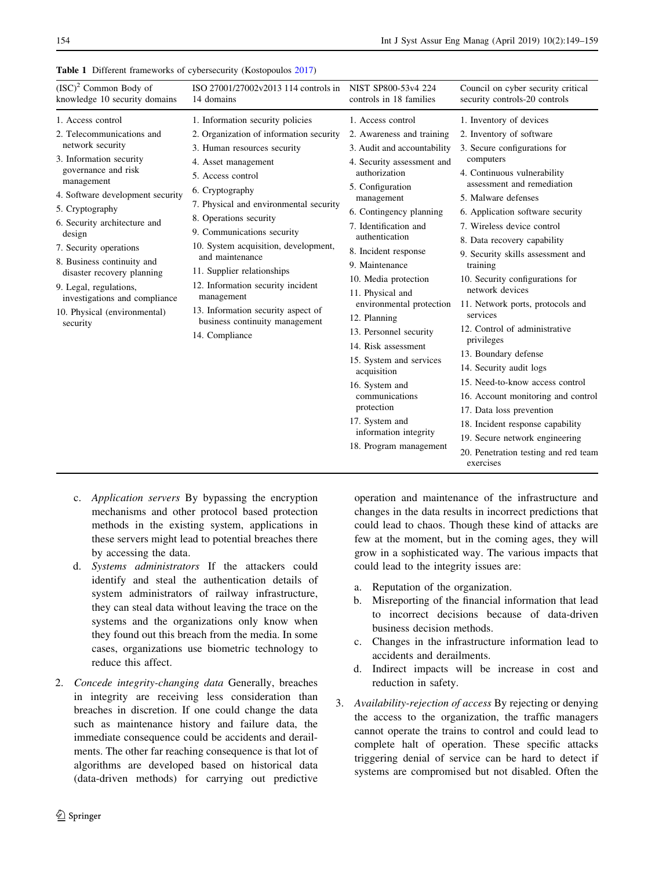| NIST SP800-53y4 224<br>ISO 27001/27002v2013 114 controls in<br>controls in 18 families                                                                                                                                                                                                                                                                                                                                                                                                                                                                                                                                                                                                       | Council on cyber security critical<br>security controls-20 controls                                                                                                                                                                                                                                                                                                                                                                                                                                                 |
|----------------------------------------------------------------------------------------------------------------------------------------------------------------------------------------------------------------------------------------------------------------------------------------------------------------------------------------------------------------------------------------------------------------------------------------------------------------------------------------------------------------------------------------------------------------------------------------------------------------------------------------------------------------------------------------------|---------------------------------------------------------------------------------------------------------------------------------------------------------------------------------------------------------------------------------------------------------------------------------------------------------------------------------------------------------------------------------------------------------------------------------------------------------------------------------------------------------------------|
| 1. Access control<br>2. Organization of information security<br>2. Awareness and training<br>3. Audit and accountability<br>4. Security assessment and<br>authorization<br>5. Configuration<br>management<br>7. Physical and environmental security<br>6. Contingency planning<br>7. Identification and<br>authentication<br>10. System acquisition, development,<br>8. Incident response<br>9. Maintenance<br>10. Media protection<br>12. Information security incident<br>11. Physical and<br>environmental protection<br>13. Information security aspect of<br>12. Planning<br>business continuity management<br>13. Personnel security<br>14. Risk assessment<br>15. System and services | 1. Inventory of devices<br>2. Inventory of software<br>3. Secure configurations for<br>computers<br>4. Continuous vulnerability<br>assessment and remediation<br>5. Malware defenses<br>6. Application software security<br>7. Wireless device control<br>8. Data recovery capability<br>9. Security skills assessment and<br>training<br>10. Security configurations for<br>network devices<br>11. Network ports, protocols and<br>services<br>12. Control of administrative<br>privileges<br>13. Boundary defense |
|                                                                                                                                                                                                                                                                                                                                                                                                                                                                                                                                                                                                                                                                                              |                                                                                                                                                                                                                                                                                                                                                                                                                                                                                                                     |

## <span id="page-5-0"></span>Table 1 Different frameworks of cybersecurity (Kostopoulos [2017](#page-10-0))

- c. Application servers By bypassing the encryption mechanisms and other protocol based protection methods in the existing system, applications in these servers might lead to potential breaches there by accessing the data.
- d. Systems administrators If the attackers could identify and steal the authentication details of system administrators of railway infrastructure, they can steal data without leaving the trace on the systems and the organizations only know when they found out this breach from the media. In some cases, organizations use biometric technology to reduce this affect.
- 2. Concede integrity-changing data Generally, breaches in integrity are receiving less consideration than breaches in discretion. If one could change the data such as maintenance history and failure data, the immediate consequence could be accidents and derailments. The other far reaching consequence is that lot of algorithms are developed based on historical data (data-driven methods) for carrying out predictive

operation and maintenance of the infrastructure and changes in the data results in incorrect predictions that could lead to chaos. Though these kind of attacks are few at the moment, but in the coming ages, they will grow in a sophisticated way. The various impacts that could lead to the integrity issues are:

- a. Reputation of the organization.
- b. Misreporting of the financial information that lead to incorrect decisions because of data-driven business decision methods.
- c. Changes in the infrastructure information lead to accidents and derailments.
- d. Indirect impacts will be increase in cost and reduction in safety.
- 3. Availability-rejection of access By rejecting or denying the access to the organization, the traffic managers cannot operate the trains to control and could lead to complete halt of operation. These specific attacks triggering denial of service can be hard to detect if systems are compromised but not disabled. Often the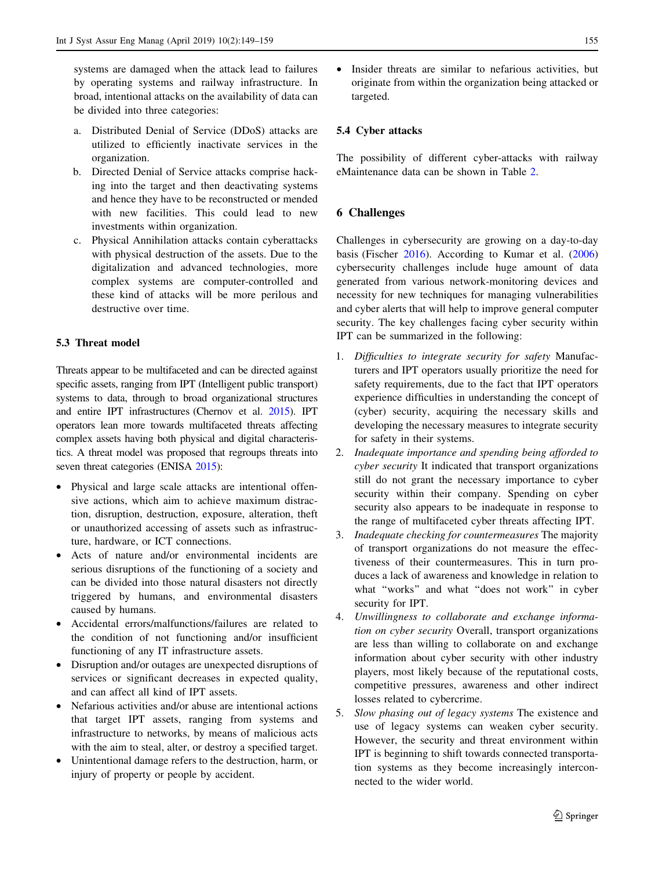systems are damaged when the attack lead to failures by operating systems and railway infrastructure. In broad, intentional attacks on the availability of data can be divided into three categories:

- a. Distributed Denial of Service (DDoS) attacks are utilized to efficiently inactivate services in the organization.
- b. Directed Denial of Service attacks comprise hacking into the target and then deactivating systems and hence they have to be reconstructed or mended with new facilities. This could lead to new investments within organization.
- c. Physical Annihilation attacks contain cyberattacks with physical destruction of the assets. Due to the digitalization and advanced technologies, more complex systems are computer-controlled and these kind of attacks will be more perilous and destructive over time.

# 5.3 Threat model

Threats appear to be multifaceted and can be directed against specific assets, ranging from IPT (Intelligent public transport) systems to data, through to broad organizational structures and entire IPT infrastructures (Chernov et al. [2015\)](#page-9-0). IPT operators lean more towards multifaceted threats affecting complex assets having both physical and digital characteristics. A threat model was proposed that regroups threats into seven threat categories (ENISA [2015](#page-9-0)):

- Physical and large scale attacks are intentional offensive actions, which aim to achieve maximum distraction, disruption, destruction, exposure, alteration, theft or unauthorized accessing of assets such as infrastructure, hardware, or ICT connections.
- Acts of nature and/or environmental incidents are serious disruptions of the functioning of a society and can be divided into those natural disasters not directly triggered by humans, and environmental disasters caused by humans.
- Accidental errors/malfunctions/failures are related to the condition of not functioning and/or insufficient functioning of any IT infrastructure assets.
- Disruption and/or outages are unexpected disruptions of services or significant decreases in expected quality, and can affect all kind of IPT assets.
- Nefarious activities and/or abuse are intentional actions that target IPT assets, ranging from systems and infrastructure to networks, by means of malicious acts with the aim to steal, alter, or destroy a specified target.
- Unintentional damage refers to the destruction, harm, or injury of property or people by accident.

• Insider threats are similar to nefarious activities, but originate from within the organization being attacked or targeted.

## 5.4 Cyber attacks

The possibility of different cyber-attacks with railway eMaintenance data can be shown in Table [2](#page-7-0).

# 6 Challenges

Challenges in cybersecurity are growing on a day-to-day basis (Fischer [2016](#page-9-0)). According to Kumar et al. ([2006\)](#page-10-0) cybersecurity challenges include huge amount of data generated from various network-monitoring devices and necessity for new techniques for managing vulnerabilities and cyber alerts that will help to improve general computer security. The key challenges facing cyber security within IPT can be summarized in the following:

- 1. Difficulties to integrate security for safety Manufacturers and IPT operators usually prioritize the need for safety requirements, due to the fact that IPT operators experience difficulties in understanding the concept of (cyber) security, acquiring the necessary skills and developing the necessary measures to integrate security for safety in their systems.
- 2. Inadequate importance and spending being afforded to cyber security It indicated that transport organizations still do not grant the necessary importance to cyber security within their company. Spending on cyber security also appears to be inadequate in response to the range of multifaceted cyber threats affecting IPT.
- 3. Inadequate checking for countermeasures The majority of transport organizations do not measure the effectiveness of their countermeasures. This in turn produces a lack of awareness and knowledge in relation to what ''works'' and what ''does not work'' in cyber security for IPT.
- 4. Unwillingness to collaborate and exchange information on cyber security Overall, transport organizations are less than willing to collaborate on and exchange information about cyber security with other industry players, most likely because of the reputational costs, competitive pressures, awareness and other indirect losses related to cybercrime.
- 5. Slow phasing out of legacy systems The existence and use of legacy systems can weaken cyber security. However, the security and threat environment within IPT is beginning to shift towards connected transportation systems as they become increasingly interconnected to the wider world.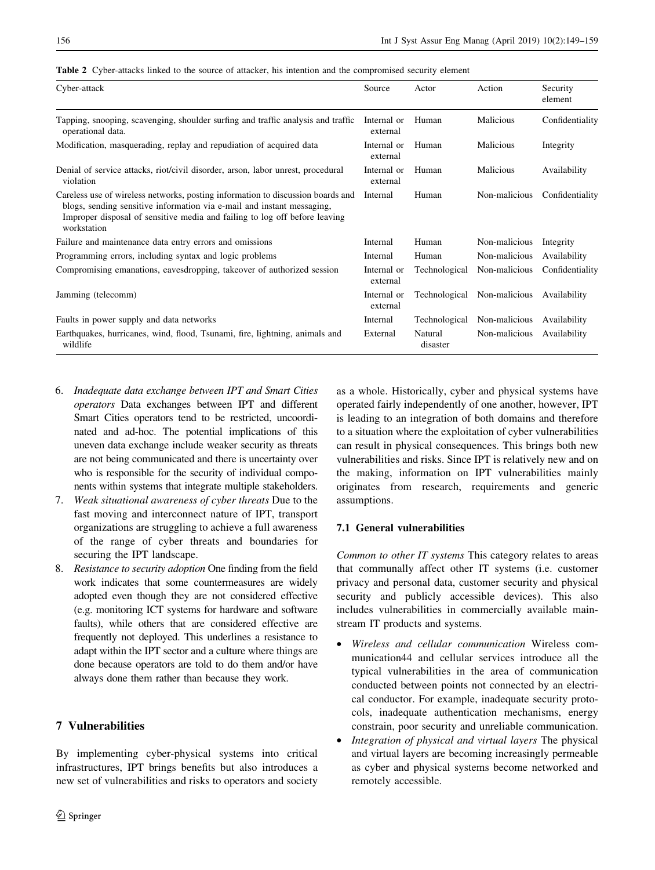<span id="page-7-0"></span>

|  |  |  | <b>Table 2</b> Cyber-attacks linked to the source of attacker, his intention and the compromised security element |  |  |  |  |
|--|--|--|-------------------------------------------------------------------------------------------------------------------|--|--|--|--|
|--|--|--|-------------------------------------------------------------------------------------------------------------------|--|--|--|--|

| Cyber-attack                                                                                                                                                                                                                                           | Source                  | Actor               | Action        | Security<br>element |
|--------------------------------------------------------------------------------------------------------------------------------------------------------------------------------------------------------------------------------------------------------|-------------------------|---------------------|---------------|---------------------|
| Tapping, snooping, scavenging, shoulder surfing and traffic analysis and traffic<br>operational data.                                                                                                                                                  | Internal or<br>external | Human               | Malicious     | Confidentiality     |
| Modification, masquerading, replay and repudiation of acquired data                                                                                                                                                                                    | Internal or<br>external | Human               | Malicious     | Integrity           |
| Denial of service attacks, riot/civil disorder, arson, labor unrest, procedural<br>violation                                                                                                                                                           | Internal or<br>external | Human               | Malicious     | Availability        |
| Careless use of wireless networks, posting information to discussion boards and<br>blogs, sending sensitive information via e-mail and instant messaging,<br>Improper disposal of sensitive media and failing to log off before leaving<br>workstation | Internal                | Human               | Non-malicious | Confidentiality     |
| Failure and maintenance data entry errors and omissions                                                                                                                                                                                                | Internal                | Human               | Non-malicious | Integrity           |
| Programming errors, including syntax and logic problems                                                                                                                                                                                                | Internal                | Human               | Non-malicious | Availability        |
| Compromising emanations, eavesdropping, takeover of authorized session                                                                                                                                                                                 | Internal or<br>external | Technological       | Non-malicious | Confidentiality     |
| Jamming (telecomm)                                                                                                                                                                                                                                     | Internal or<br>external | Technological       | Non-malicious | Availability        |
| Faults in power supply and data networks                                                                                                                                                                                                               | Internal                | Technological       | Non-malicious | Availability        |
| Earthquakes, hurricanes, wind, flood, Tsunami, fire, lightning, animals and<br>wildlife                                                                                                                                                                | External                | Natural<br>disaster | Non-malicious | Availability        |

- 6. Inadequate data exchange between IPT and Smart Cities operators Data exchanges between IPT and different Smart Cities operators tend to be restricted, uncoordinated and ad-hoc. The potential implications of this uneven data exchange include weaker security as threats are not being communicated and there is uncertainty over who is responsible for the security of individual components within systems that integrate multiple stakeholders.
- 7. Weak situational awareness of cyber threats Due to the fast moving and interconnect nature of IPT, transport organizations are struggling to achieve a full awareness of the range of cyber threats and boundaries for securing the IPT landscape.
- 8. Resistance to security adoption One finding from the field work indicates that some countermeasures are widely adopted even though they are not considered effective (e.g. monitoring ICT systems for hardware and software faults), while others that are considered effective are frequently not deployed. This underlines a resistance to adapt within the IPT sector and a culture where things are done because operators are told to do them and/or have always done them rather than because they work.

# 7 Vulnerabilities

By implementing cyber-physical systems into critical infrastructures, IPT brings benefits but also introduces a new set of vulnerabilities and risks to operators and society

as a whole. Historically, cyber and physical systems have operated fairly independently of one another, however, IPT is leading to an integration of both domains and therefore to a situation where the exploitation of cyber vulnerabilities can result in physical consequences. This brings both new vulnerabilities and risks. Since IPT is relatively new and on the making, information on IPT vulnerabilities mainly originates from research, requirements and generic assumptions.

# 7.1 General vulnerabilities

Common to other IT systems This category relates to areas that communally affect other IT systems (i.e. customer privacy and personal data, customer security and physical security and publicly accessible devices). This also includes vulnerabilities in commercially available mainstream IT products and systems.

- Wireless and cellular communication Wireless communication44 and cellular services introduce all the typical vulnerabilities in the area of communication conducted between points not connected by an electrical conductor. For example, inadequate security protocols, inadequate authentication mechanisms, energy constrain, poor security and unreliable communication.
- Integration of physical and virtual layers The physical and virtual layers are becoming increasingly permeable as cyber and physical systems become networked and remotely accessible.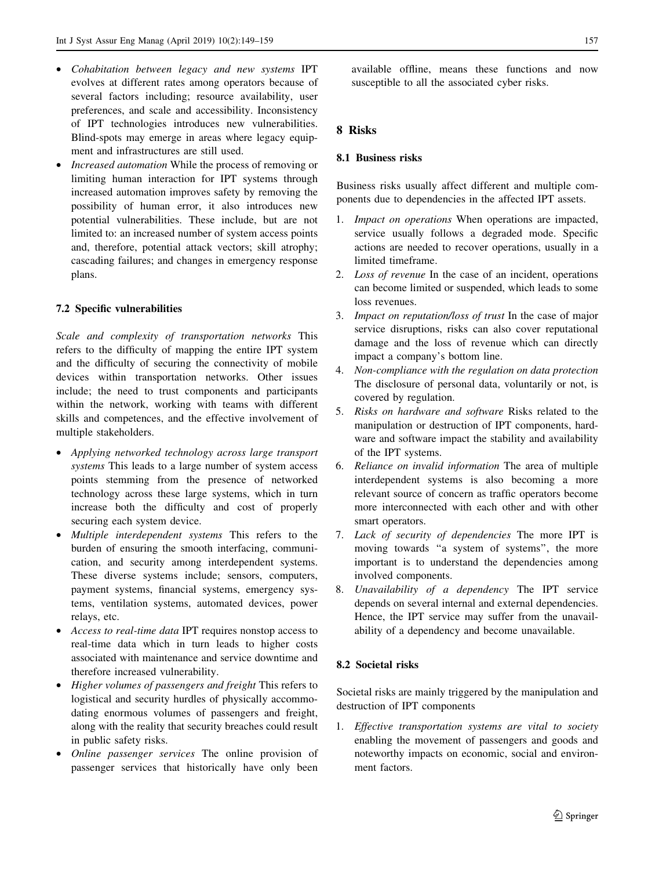- Cohabitation between legacy and new systems IPT evolves at different rates among operators because of several factors including; resource availability, user preferences, and scale and accessibility. Inconsistency of IPT technologies introduces new vulnerabilities. Blind-spots may emerge in areas where legacy equipment and infrastructures are still used.
- Increased automation While the process of removing or limiting human interaction for IPT systems through increased automation improves safety by removing the possibility of human error, it also introduces new potential vulnerabilities. These include, but are not limited to: an increased number of system access points and, therefore, potential attack vectors; skill atrophy; cascading failures; and changes in emergency response plans.

## 7.2 Specific vulnerabilities

Scale and complexity of transportation networks This refers to the difficulty of mapping the entire IPT system and the difficulty of securing the connectivity of mobile devices within transportation networks. Other issues include; the need to trust components and participants within the network, working with teams with different skills and competences, and the effective involvement of multiple stakeholders.

- Applying networked technology across large transport systems This leads to a large number of system access points stemming from the presence of networked technology across these large systems, which in turn increase both the difficulty and cost of properly securing each system device.
- Multiple interdependent systems This refers to the burden of ensuring the smooth interfacing, communication, and security among interdependent systems. These diverse systems include; sensors, computers, payment systems, financial systems, emergency systems, ventilation systems, automated devices, power relays, etc.
- Access to real-time data IPT requires nonstop access to real-time data which in turn leads to higher costs associated with maintenance and service downtime and therefore increased vulnerability.
- Higher volumes of passengers and freight This refers to logistical and security hurdles of physically accommodating enormous volumes of passengers and freight, along with the reality that security breaches could result in public safety risks.
- Online passenger services The online provision of passenger services that historically have only been

available offline, means these functions and now susceptible to all the associated cyber risks.

## 8 Risks

### 8.1 Business risks

Business risks usually affect different and multiple components due to dependencies in the affected IPT assets.

- 1. Impact on operations When operations are impacted, service usually follows a degraded mode. Specific actions are needed to recover operations, usually in a limited timeframe.
- 2. Loss of revenue In the case of an incident, operations can become limited or suspended, which leads to some loss revenues.
- 3. Impact on reputation/loss of trust In the case of major service disruptions, risks can also cover reputational damage and the loss of revenue which can directly impact a company's bottom line.
- 4. Non-compliance with the regulation on data protection The disclosure of personal data, voluntarily or not, is covered by regulation.
- 5. Risks on hardware and software Risks related to the manipulation or destruction of IPT components, hardware and software impact the stability and availability of the IPT systems.
- 6. Reliance on invalid information The area of multiple interdependent systems is also becoming a more relevant source of concern as traffic operators become more interconnected with each other and with other smart operators.
- 7. Lack of security of dependencies The more IPT is moving towards "a system of systems", the more important is to understand the dependencies among involved components.
- 8. Unavailability of a dependency The IPT service depends on several internal and external dependencies. Hence, the IPT service may suffer from the unavailability of a dependency and become unavailable.

## 8.2 Societal risks

Societal risks are mainly triggered by the manipulation and destruction of IPT components

1. Effective transportation systems are vital to society enabling the movement of passengers and goods and noteworthy impacts on economic, social and environment factors.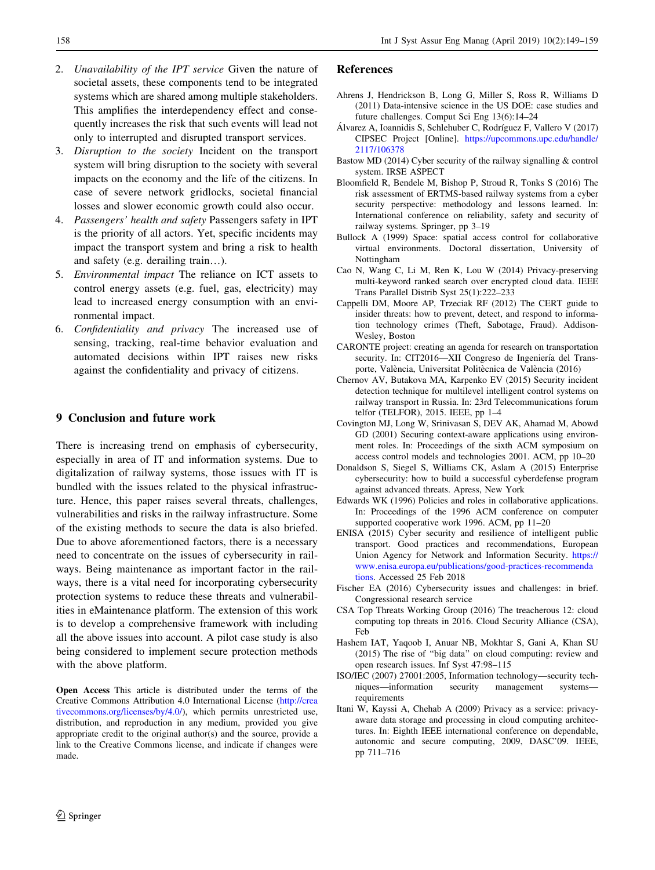- <span id="page-9-0"></span>2. Unavailability of the IPT service Given the nature of societal assets, these components tend to be integrated systems which are shared among multiple stakeholders. This amplifies the interdependency effect and consequently increases the risk that such events will lead not only to interrupted and disrupted transport services.
- 3. Disruption to the society Incident on the transport system will bring disruption to the society with several impacts on the economy and the life of the citizens. In case of severe network gridlocks, societal financial losses and slower economic growth could also occur.
- 4. Passengers' health and safety Passengers safety in IPT is the priority of all actors. Yet, specific incidents may impact the transport system and bring a risk to health and safety (e.g. derailing train…).
- 5. Environmental impact The reliance on ICT assets to control energy assets (e.g. fuel, gas, electricity) may lead to increased energy consumption with an environmental impact.
- 6. Confidentiality and privacy The increased use of sensing, tracking, real-time behavior evaluation and automated decisions within IPT raises new risks against the confidentiality and privacy of citizens.

## 9 Conclusion and future work

There is increasing trend on emphasis of cybersecurity, especially in area of IT and information systems. Due to digitalization of railway systems, those issues with IT is bundled with the issues related to the physical infrastructure. Hence, this paper raises several threats, challenges, vulnerabilities and risks in the railway infrastructure. Some of the existing methods to secure the data is also briefed. Due to above aforementioned factors, there is a necessary need to concentrate on the issues of cybersecurity in railways. Being maintenance as important factor in the railways, there is a vital need for incorporating cybersecurity protection systems to reduce these threats and vulnerabilities in eMaintenance platform. The extension of this work is to develop a comprehensive framework with including all the above issues into account. A pilot case study is also being considered to implement secure protection methods with the above platform.

Open Access This article is distributed under the terms of the Creative Commons Attribution 4.0 International License ([http://crea](http://creativecommons.org/licenses/by/4.0/) [tivecommons.org/licenses/by/4.0/\)](http://creativecommons.org/licenses/by/4.0/), which permits unrestricted use, distribution, and reproduction in any medium, provided you give appropriate credit to the original author(s) and the source, provide a link to the Creative Commons license, and indicate if changes were made.

- Ahrens J, Hendrickson B, Long G, Miller S, Ross R, Williams D (2011) Data-intensive science in the US DOE: case studies and future challenges. Comput Sci Eng 13(6):14–24
- Álvarez A, Ioannidis S, Schlehuber C, Rodríguez F, Vallero V (2017) CIPSEC Project [Online]. [https://upcommons.upc.edu/handle/](https://upcommons.upc.edu/handle/2117/106378) [2117/106378](https://upcommons.upc.edu/handle/2117/106378)
- Bastow MD (2014) Cyber security of the railway signalling & control system. IRSE ASPECT
- Bloomfield R, Bendele M, Bishop P, Stroud R, Tonks S (2016) The risk assessment of ERTMS-based railway systems from a cyber security perspective: methodology and lessons learned. In: International conference on reliability, safety and security of railway systems. Springer, pp 3–19
- Bullock A (1999) Space: spatial access control for collaborative virtual environments. Doctoral dissertation, University of Nottingham
- Cao N, Wang C, Li M, Ren K, Lou W (2014) Privacy-preserving multi-keyword ranked search over encrypted cloud data. IEEE Trans Parallel Distrib Syst 25(1):222–233
- Cappelli DM, Moore AP, Trzeciak RF (2012) The CERT guide to insider threats: how to prevent, detect, and respond to information technology crimes (Theft, Sabotage, Fraud). Addison-Wesley, Boston
- CARONTE project: creating an agenda for research on transportation security. In: CIT2016-XII Congreso de Ingeniería del Transporte, València, Universitat Politècnica de València (2016)
- Chernov AV, Butakova MA, Karpenko EV (2015) Security incident detection technique for multilevel intelligent control systems on railway transport in Russia. In: 23rd Telecommunications forum telfor (TELFOR), 2015. IEEE, pp 1–4
- Covington MJ, Long W, Srinivasan S, DEV AK, Ahamad M, Abowd GD (2001) Securing context-aware applications using environment roles. In: Proceedings of the sixth ACM symposium on access control models and technologies 2001. ACM, pp 10–20
- Donaldson S, Siegel S, Williams CK, Aslam A (2015) Enterprise cybersecurity: how to build a successful cyberdefense program against advanced threats. Apress, New York
- Edwards WK (1996) Policies and roles in collaborative applications. In: Proceedings of the 1996 ACM conference on computer supported cooperative work 1996. ACM, pp 11–20
- ENISA (2015) Cyber security and resilience of intelligent public transport. Good practices and recommendations, European Union Agency for Network and Information Security. [https://](https://www.enisa.europa.eu/publications/good-practices-recommendations) [www.enisa.europa.eu/publications/good-practices-recommenda](https://www.enisa.europa.eu/publications/good-practices-recommendations) [tions.](https://www.enisa.europa.eu/publications/good-practices-recommendations) Accessed 25 Feb 2018
- Fischer EA (2016) Cybersecurity issues and challenges: in brief. Congressional research service
- CSA Top Threats Working Group (2016) The treacherous 12: cloud computing top threats in 2016. Cloud Security Alliance (CSA), Feb
- Hashem IAT, Yaqoob I, Anuar NB, Mokhtar S, Gani A, Khan SU (2015) The rise of ''big data'' on cloud computing: review and open research issues. Inf Syst 47:98–115
- ISO/IEC (2007) 27001:2005, Information technology—security techniques—information security management systems requirements
- Itani W, Kayssi A, Chehab A (2009) Privacy as a service: privacyaware data storage and processing in cloud computing architectures. In: Eighth IEEE international conference on dependable, autonomic and secure computing, 2009, DASC'09. IEEE, pp 711–716